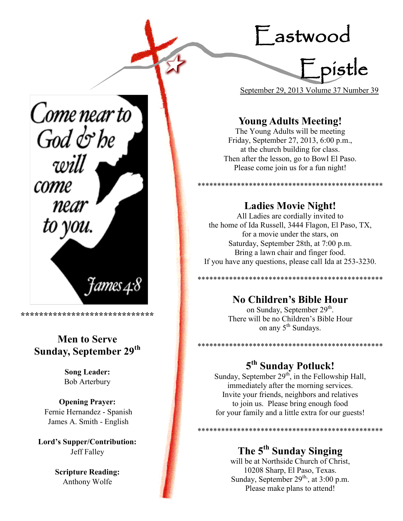Eastwood



September 29, 2013 Volume 37 Number 39

\*\*\*\*\*\*\*\*\*\*\*\*\*\*\*\*\*\*\*\*\*\*\*\*\*\*\*\*\*\*\*\*\*\*\*\*\*\*\*\*\*\*\*\*\*\*\*

## **Young Adults Meeting!**

The Young Adults will be meeting Friday, September 27, 2013, 6:00 p.m., at the church building for class. Then after the lesson, go to Bowl El Paso. Please come join us for a fun night!

**Ladies Movie Night!**

All Ladies are cordially invited to the home of Ida Russell, 3444 Flagon, El Paso, TX, for a movie under the stars, on Saturday, September 28th, at 7:00 p.m. Bring a lawn chair and finger food. If you have any questions, please call Ida at 253-3230.

\*\*\*\*\*\*\*\*\*\*\*\*\*\*\*\*\*\*\*\*\*\*\*\*\*\*\*\*\*\*\*\*\*\*\*\*\*\*\*\*\*\*\*\*\*\*\*

### **No Children's Bible Hour**

on Sunday, September 29<sup>th</sup>. There will be no Children's Bible Hour on any 5<sup>th</sup> Sundays.

\*\*\*\*\*\*\*\*\*\*\*\*\*\*\*\*\*\*\*\*\*\*\*\*\*\*\*\*\*\*\*\*\*\*\*\*\*\*\*\*\*\*\*\*\*\*\*

\*\*\*\*\*\*\*\*\*\*\*\*\*\*\*\*\*\*\*\*\*\*\*\*\*\*\*\*\*\*\*\*

## **5 th Sunday Potluck!**

Sunday, September  $29<sup>th</sup>$ , in the Fellowship Hall, immediately after the morning services. Invite your friends, neighbors and relatives to join us. Please bring enough food for your family and a little extra for our guests!

## **The 5th Sunday Singing**

will be at Northside Church of Christ, 10208 Sharp, El Paso, Texas. Sunday, September  $29<sup>th</sup>$ , at  $3:00$  p.m. Please make plans to attend!

Come near to  $God$  $\phi$ be will come near to you.

**Men to Serve**

**\*\*\*\*\*\*\*\*\*\*\*\*\*\*\*\*\*\*\*\*\*\*\*\*\*\*\*\*\***

t*ames* 4:8

## **Sunday, September 29th**

**Song Leader:**  Bob Arterbury

**Opening Prayer:** Fernie Hernandez - Spanish James A. Smith - English

**Lord's Supper/Contribution:**  Jeff Falley

> **Scripture Reading:**  Anthony Wolfe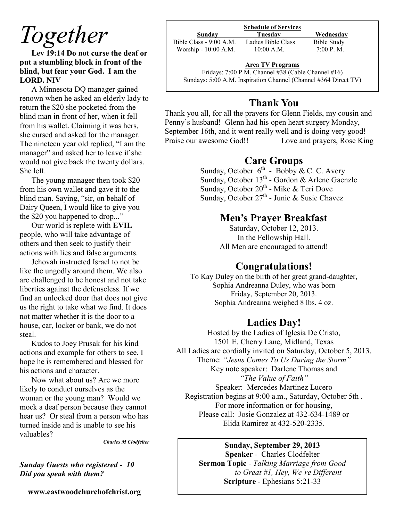## *Together*

**Lev 19:14 Do not curse the deaf or put a stumbling block in front of the blind, but fear your God. I am the LORD. NIV**

A Minnesota DQ manager gained renown when he asked an elderly lady to return the \$20 she pocketed from the blind man in front of her, when it fell from his wallet. Claiming it was hers, she cursed and asked for the manager. The nineteen year old replied, "I am the manager" and asked her to leave if she would not give back the twenty dollars. She left.

The young manager then took \$20 from his own wallet and gave it to the blind man. Saying, "sir, on behalf of Dairy Queen, I would like to give you the \$20 you happened to drop..."

Our world is replete with **EVIL** people, who will take advantage of others and then seek to justify their actions with lies and false arguments.

Jehovah instructed Israel to not be like the ungodly around them. We also are challenged to be honest and not take liberties against the defenseless. If we find an unlocked door that does not give us the right to take what we find. It does not matter whether it is the door to a house, car, locker or bank, we do not steal.

Kudos to Joey Prusak for his kind actions and example for others to see. I hope he is remembered and blessed for his actions and character.

Now what about us? Are we more likely to conduct ourselves as the woman or the young man? Would we mock a deaf person because they cannot hear us? Or steal from a person who has turned inside and is unable to see his valuables?

*Charles M Clodfelter*

#### *Sunday Guests who registered - 10 Did you speak with them?*

**www.eastwoodchurchofchrist.org**

| Sunday                  | Tuesday            | Wednesday   |
|-------------------------|--------------------|-------------|
| Bible Class - 9:00 A.M. | Ladies Bible Class | Bible Study |
| Worship - 10:00 A.M.    | $10:00$ A.M.       | 7:00 P. M.  |
|                         |                    |             |

#### **Area TV Programs**

Area TV Programs<br>Fridays: 7:00 P.M. Channel #38 (Cable Channel #16) Sundays: 5:00 A.M. Inspiration Channel (Channel #364 Direct TV)

## **Thank You**

Thank you all, for all the prayers for Glenn Fields, my cousin and Penny's husband! Glenn had his open heart surgery Monday, September 16th, and it went really well and is doing very good! Praise our awesome God!! Love and prayers, Rose King

## **Care Groups**

Sunday, October  $6^{th}$  - Bobby & C. C. Avery Sunday, October 13<sup>th</sup> - Gordon & Arlene Gaenzle Sunday, October 20<sup>th</sup> - Mike & Teri Dove Sunday, October  $27^{\text{th}}$  - Junie & Susie Chavez

### **Men's Prayer Breakfast**

Saturday, October 12, 2013. In the Fellowship Hall. All Men are encouraged to attend!

## **Congratulations!**

To Kay Duley on the birth of her great grand-daughter, Sophia Andreanna Duley, who was born Friday, September 20, 2013. Sophia Andreanna weighed 8 lbs. 4 oz.

## **Ladies Day!**

Hosted by the Ladies of Iglesia De Cristo, 1501 E. Cherry Lane, Midland, Texas All Ladies are cordially invited on Saturday, October 5, 2013. Theme: *"Jesus Comes To Us During the Storm"* Key note speaker: Darlene Thomas and *"The Value of Faith"* Speaker: Mercedes Martinez Lucero Registration begins at 9:00 a.m., Saturday, October 5th . For more information or for housing, Please call: Josie Gonzalez at 432-634-1489 or Elida Ramirez at 432-520-2335.

#### **Sunday, September 29, 2013**

**Speaker** - Charles Clodfelter **Sermon Topic** - *Talking Marriage from Good to Great #1, Hey, We're Different* **Scripture** - Ephesians 5:21-33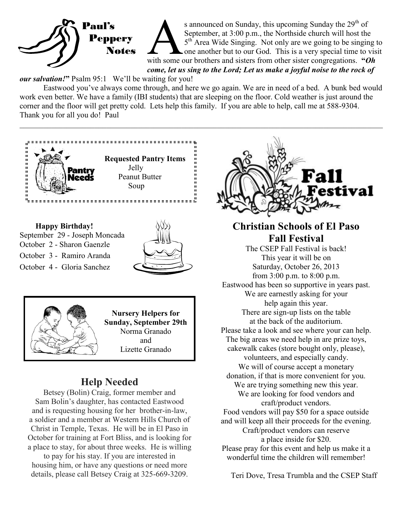

s announced on Sunday, this upcoming Sunday the 29<sup>th</sup> of September, at 3:00 p.m., the Northside church will host the 5<sup>th</sup> Area Wide Singing. Not only are we going to be singing to with some our brothers and sisters from s announced on Sunday, this upcoming Sunday the  $29<sup>th</sup>$  of September, at 3:00 p.m., the Northside church will host the 5<sup>th</sup> Area Wide Singing. Not only are we going to be singing to one another but to our God. This is a very special time to visit *come, let us sing to the Lord; Let us make a joyful noise to the rock of* 

*our salvation!***"** Psalm 95:1 We'll be waiting for you!

Eastwood you've always come through, and here we go again. We are in need of a bed. A bunk bed would work even better. We have a family (IBI students) that are sleeping on the floor. Cold weather is just around the corner and the floor will get pretty cold. Lets help this family. If you are able to help, call me at 588-9304. Thank you for all you do! Paul